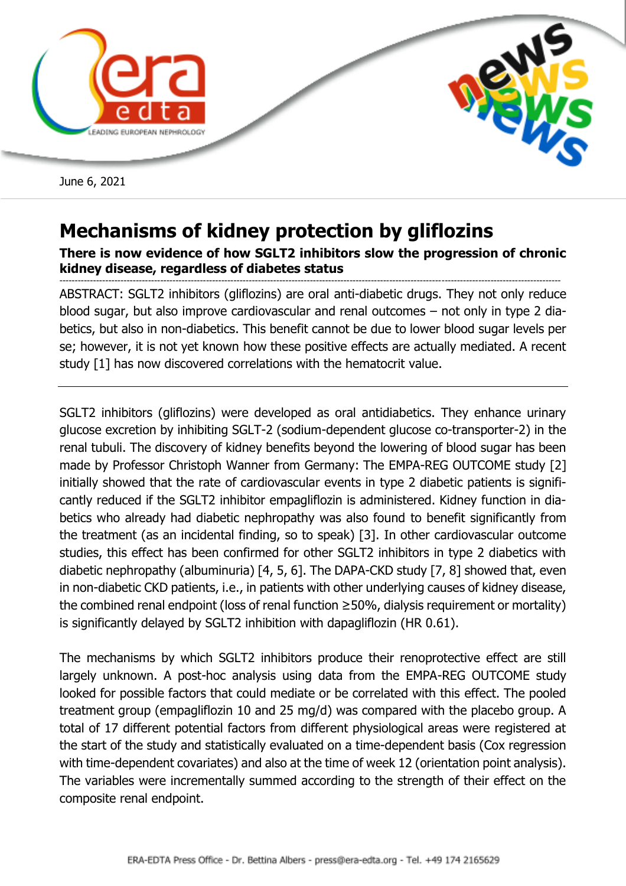

June 6, 2021

## **Mechanisms of kidney protection by gliflozins**

## **There is now evidence of how SGLT2 inhibitors slow the progression of chronic kidney disease, regardless of diabetes status**

-------------------------------------------------------------------------------------------------------------------------------------------------------------------- ABSTRACT: SGLT2 inhibitors (gliflozins) are oral anti-diabetic drugs. They not only reduce blood sugar, but also improve cardiovascular and renal outcomes – not only in type 2 diabetics, but also in non-diabetics. This benefit cannot be due to lower blood sugar levels per se; however, it is not yet known how these positive effects are actually mediated. A recent study [1] has now discovered correlations with the hematocrit value.

SGLT2 inhibitors (gliflozins) were developed as oral antidiabetics. They enhance urinary glucose excretion by inhibiting SGLT-2 (sodium-dependent glucose co-transporter-2) in the renal tubuli. The discovery of kidney benefits beyond the lowering of blood sugar has been made by Professor Christoph Wanner from Germany: The EMPA-REG OUTCOME study [2] initially showed that the rate of cardiovascular events in type 2 diabetic patients is significantly reduced if the SGLT2 inhibitor empagliflozin is administered. Kidney function in diabetics who already had diabetic nephropathy was also found to benefit significantly from the treatment (as an incidental finding, so to speak) [3]. In other cardiovascular outcome studies, this effect has been confirmed for other SGLT2 inhibitors in type 2 diabetics with diabetic nephropathy (albuminuria) [4, 5, 6]. The DAPA-CKD study [7, 8] showed that, even in non-diabetic CKD patients, i.e., in patients with other underlying causes of kidney disease, the combined renal endpoint (loss of renal function ≥50%, dialysis requirement or mortality) is significantly delayed by SGLT2 inhibition with dapagliflozin (HR 0.61).

The mechanisms by which SGLT2 inhibitors produce their renoprotective effect are still largely unknown. A post-hoc analysis using data from the EMPA-REG OUTCOME study looked for possible factors that could mediate or be correlated with this effect. The pooled treatment group (empagliflozin 10 and 25 mg/d) was compared with the placebo group. A total of 17 different potential factors from different physiological areas were registered at the start of the study and statistically evaluated on a time-dependent basis (Cox regression with time-dependent covariates) and also at the time of week 12 (orientation point analysis). The variables were incrementally summed according to the strength of their effect on the composite renal endpoint.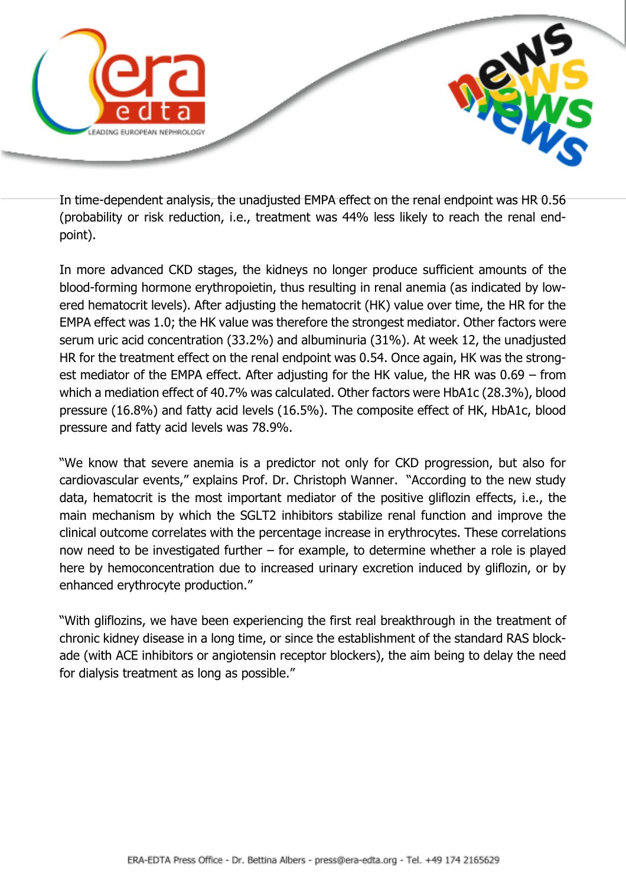

In time-dependent analysis, the unadjusted EMPA effect on the renal endpoint was HR 0.56 (probability or risk reduction, i.e., treatment was 44% less likely to reach the renal endpoint).

In more advanced CKD stages, the kidneys no longer produce sufficient amounts of the blood-forming hormone erythropoietin, thus resulting in renal anemia (as indicated by lowered hematocrit levels). After adjusting the hematocrit (HK) value over time, the HR for the EMPA effect was 1.0; the HK value was therefore the strongest mediator. Other factors were serum uric acid concentration (33.2%) and albuminuria (31%). At week 12, the unadjusted HR for the treatment effect on the renal endpoint was 0.54. Once again, HK was the strongest mediator of the EMPA effect. After adjusting for the HK value, the HR was 0.69 – from which a mediation effect of 40.7% was calculated. Other factors were HbA1c (28.3%), blood pressure (16.8%) and fatty acid levels (16.5%). The composite effect of HK, HbA1c, blood pressure and fatty acid levels was 78.9%.

"We know that severe anemia is a predictor not only for CKD progression, but also for cardiovascular events," explains Prof. Dr. Christoph Wanner. "According to the new study data, hematocrit is the most important mediator of the positive gliflozin effects, i.e., the main mechanism by which the SGLT2 inhibitors stabilize renal function and improve the clinical outcome correlates with the percentage increase in erythrocytes. These correlations now need to be investigated further – for example, to determine whether a role is played here by hemoconcentration due to increased urinary excretion induced by gliflozin, or by enhanced erythrocyte production."

"With gliflozins, we have been experiencing the first real breakthrough in the treatment of chronic kidney disease in a long time, or since the establishment of the standard RAS blockade (with ACE inhibitors or angiotensin receptor blockers), the aim being to delay the need for dialysis treatment as long as possible."